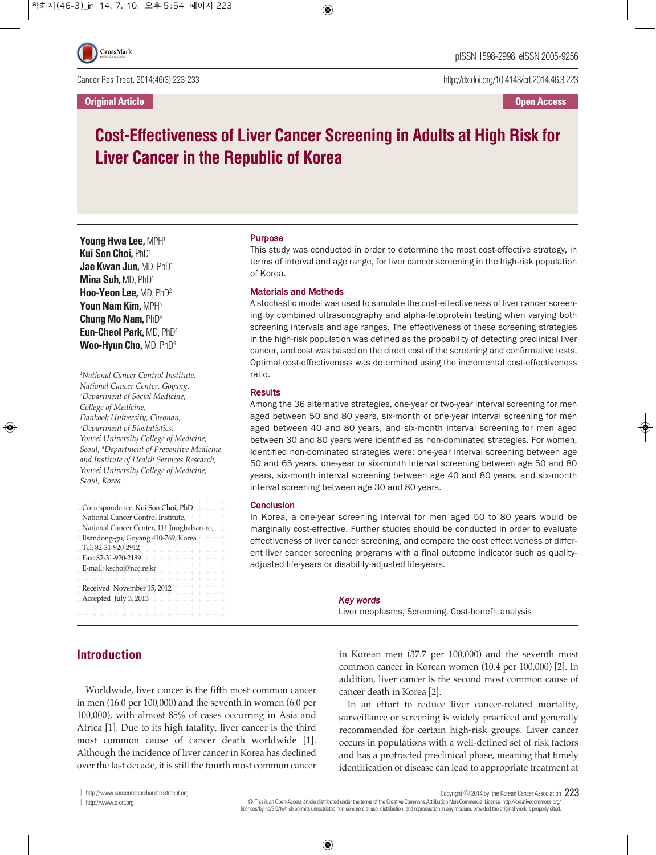Cancer Res Treat. 2014;46(3):223-233

**Original Article Open Access**

http://dx.doi.org/10.4143/crt.2014.46.3.223

# **Cost-Effectiveness of Liver Cancer Screening in Adults at High Risk for Liver Cancer in the Republic of Korea**

**Young Hwa Lee,** MPH1 **Kui Son Choi,** PhD1 **Jae Kwan Jun,** MD, PhD1 **Mina Suh,** MD, PhD1 **Hoo-Yeon Lee,** MD, PhD2 **Youn Nam Kim,** MPH3 **Chung Mo Nam,** PhD4 **Eun-Cheol Park,** MD, PhD4 **Woo-Hyun Cho,** MD, PhD4

*1 National Cancer Control Institute, National Cancer Center, Goyang, 2 Department of Social Medicine, College of Medicine, Dankook University, Cheonan, 3 Department of Biostatistics, Yonsei University College of Medicine, Seoul, <sup>4</sup> Department of Preventive Medicine and Institute of Health Services Research, Yonsei University College of Medicine, Seoul, Korea*

| Correspondence: Kui Son Choi, PhD<br>National Cancer Control Institute,                                                                                           |
|-------------------------------------------------------------------------------------------------------------------------------------------------------------------|
| National Cancer Center, 111 Jungbalsan-ro,                                                                                                                        |
| Ilsandong-gu, Goyang 410-769, Korea + + +                                                                                                                         |
| Tel: 82-31-920-2912<br>$\overline{\phantom{0}}$                                                                                                                   |
| Fax: 82-31-920-2189 +                                                                                                                                             |
| + + + + + + +<br>E-mail: kschoi@ncc.re.kr<br>$+ +$                                                                                                                |
| Received November 15, 2012<br>$+ +$<br>Accepted July 3, 2013<br>$+ + + + + + + + + +$<br>+ + + + + + + + + + + + +<br>$\overline{\phantom{0}}$<br>$+ + + + + + +$ |

### Purpose

This study was conducted in order to determine the most cost-effective strategy, in terms of interval and age range, for liver cancer screening in the high-risk population of Korea.

#### Materials and Methods

A stochastic model was used to simulate the cost-effectiveness of liver cancer screening by combined ultrasonography and alpha-fetoprotein testing when varying both screening intervals and age ranges. The effectiveness of these screening strategies in the high-risk population was defined as the probability of detecting preclinical liver cancer, and cost was based on the direct cost of the screening and confirmative tests. Optimal cost-effectiveness was determined using the incremental cost-effectiveness ratio.

### **Results**

Among the 36 alternative strategies, one-year or two-year interval screening for men aged between 50 and 80 years, six-month or one-year interval screening for men aged between 40 and 80 years, and six-month interval screening for men aged between 30 and 80 years were identified as non-dominated strategies. For women, identified non-dominated strategies were: one-year interval screening between age 50 and 65 years, one-year or six-month interval screening between age 50 and 80 years, six-month interval screening between age 40 and 80 years, and six-month interval screening between age 30 and 80 years.

### **Conclusion**

In Korea, a one-year screening interval for men aged 50 to 80 years would be marginally cost-effective. Further studies should be conducted in order to evaluate effectiveness of liver cancer screening, and compare the cost effectiveness of different liver cancer screening programs with a final outcome indicator such as qualityadjusted life-years or disability-adjusted life-years.

*Key words*

Liver neoplasms, Screening, Cost-benefit analysis

**Introduction**

Worldwide, liver cancer is the fifth most common cancer in men (16.0 per 100,000) and the seventh in women (6.0 per 100,000), with almost 85% of cases occurring in Asia and Africa [1]. Due to its high fatality, liver cancer is the third most common cause of cancer death worldwide [1]. Although the incidence of liver cancer in Korea has declined over the last decade, it is still the fourth most common cancer

in Korean men (37.7 per 100,000) and the seventh most common cancer in Korean women (10.4 per 100,000) [2]. In addition, liver cancer is the second most common cause of cancer death in Korea [2].

In an effort to reduce liver cancer-related mortality, surveillance or screening is widely practiced and generally recommended for certain high-risk groups. Liver cancer occurs in populations with a well-defined set of risk factors and has a protracted preclinical phase, meaning that timely identification of disease can lead to appropriate treatment at

Copyright ⓒ <sup>2014</sup> by the Korean Cancer Association 223

Thisis an Open-Access article distributed under the terms of the Creative Commons Attribution Non-CommercialLicense (http://creativecommons.org/ licenses/by-nc/3.0//which permits unrestricted non-commercial use, distribution, and reproduction in any medium, provided the original work is properly cited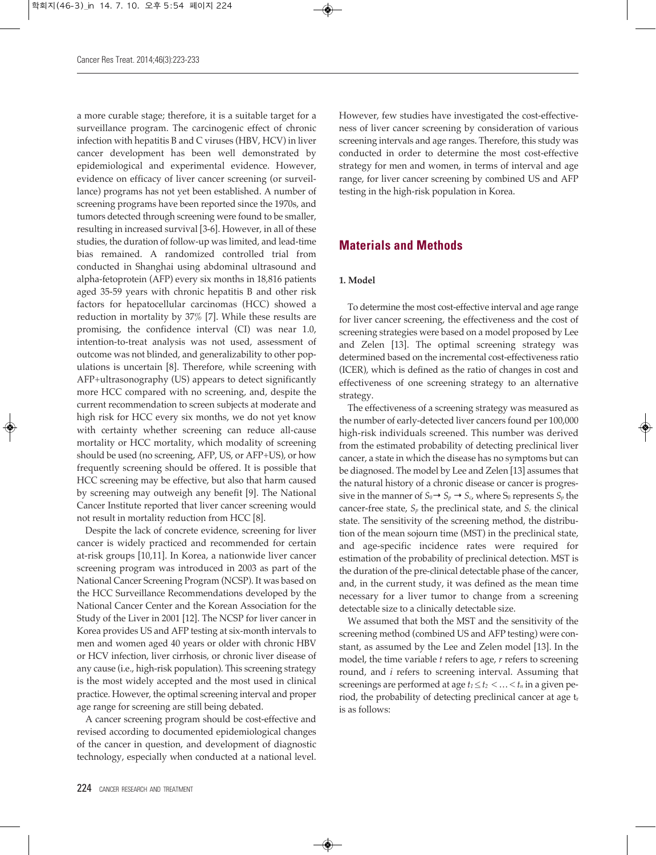a more curable stage; therefore, it is a suitable target for a surveillance program. The carcinogenic effect of chronic infection with hepatitis B and C viruses (HBV, HCV) in liver cancer development has been well demonstrated by epidemiological and experimental evidence. However, evidence on efficacy of liver cancer screening (or surveillance) programs has not yet been established. A number of screening programs have been reported since the 1970s, and tumors detected through screening were found to be smaller, resulting in increased survival [3-6]. However, in all of these studies, the duration of follow-up was limited, and lead-time bias remained. A randomized controlled trial from conducted in Shanghai using abdominal ultrasound and alpha-fetoprotein (AFP) every six months in 18,816 patients aged 35-59 years with chronic hepatitis B and other risk factors for hepatocellular carcinomas (HCC) showed a reduction in mortality by 37% [7]. While these results are promising, the confidence interval (CI) was near 1.0, intention-to-treat analysis was not used, assessment of outcome was not blinded, and generalizability to other populations is uncertain [8]. Therefore, while screening with AFP+ultrasonography (US) appears to detect significantly more HCC compared with no screening, and, despite the current recommendation to screen subjects at moderate and high risk for HCC every six months, we do not yet know with certainty whether screening can reduce all-cause mortality or HCC mortality, which modality of screening should be used (no screening, AFP, US, or AFP+US), or how frequently screening should be offered. It is possible that HCC screening may be effective, but also that harm caused by screening may outweigh any benefit [9]. The National Cancer Institute reported that liver cancer screening would not result in mortality reduction from HCC [8].

Despite the lack of concrete evidence, screening for liver cancer is widely practiced and recommended for certain at-risk groups [10,11]. In Korea, a nationwide liver cancer screening program was introduced in 2003 as part of the National Cancer Screening Program (NCSP). It was based on the HCC Surveillance Recommendations developed by the National Cancer Center and the Korean Association for the Study of the Liver in 2001 [12]. The NCSP for liver cancer in Korea provides US and AFP testing at six-month intervals to men and women aged 40 years or older with chronic HBV or HCV infection, liver cirrhosis, or chronic liver disease of any cause (i.e., high-risk population). This screening strategy is the most widely accepted and the most used in clinical practice. However, the optimal screening interval and proper age range for screening are still being debated.

A cancer screening program should be cost-effective and revised according to documented epidemiological changes of the cancer in question, and development of diagnostic technology, especially when conducted at a national level. However, few studies have investigated the cost-effectiveness of liver cancer screening by consideration of various screening intervals and age ranges. Therefore, this study was conducted in order to determine the most cost-effective strategy for men and women, in terms of interval and age range, for liver cancer screening by combined US and AFP testing in the high-risk population in Korea.

# **Materials and Methods**

### **1. Model**

To determine the most cost-effective interval and age range for liver cancer screening, the effectiveness and the cost of screening strategies were based on a model proposed by Lee and Zelen [13]. The optimal screening strategy was determined based on the incremental cost-effectiveness ratio (ICER), which is defined as the ratio of changes in cost and effectiveness of one screening strategy to an alternative strategy.

The effectiveness of a screening strategy was measured as the number of early-detected liver cancers found per 100,000 high-risk individuals screened. This number was derived from the estimated probability of detecting preclinical liver cancer, a state in which the disease has no symptoms but can be diagnosed. The model by Lee and Zelen [13] assumes that the natural history of a chronic disease or cancer is progressive in the manner of  $S_0 \rightarrow S_p \rightarrow S_c$ , where  $S_0$  represents  $S_p$  the cancer-free state,  $S_p$  the preclinical state, and  $S_c$  the clinical state. The sensitivity of the screening method, the distribution of the mean sojourn time (MST) in the preclinical state, and age-specific incidence rates were required for estimation of the probability of preclinical detection. MST is the duration of the pre-clinical detectable phase of the cancer, and, in the current study, it was defined as the mean time necessary for a liver tumor to change from a screening detectable size to a clinically detectable size.

We assumed that both the MST and the sensitivity of the screening method (combined US and AFP testing) were constant, as assumed by the Lee and Zelen model [13]. In the model, the time variable *t* refers to age, *r* refers to screening round, and *i* refers to screening interval. Assuming that screenings are performed at age  $t_1 \le t_2 < ... < t_n$  in a given period, the probability of detecting preclinical cancer at age tr is as follows: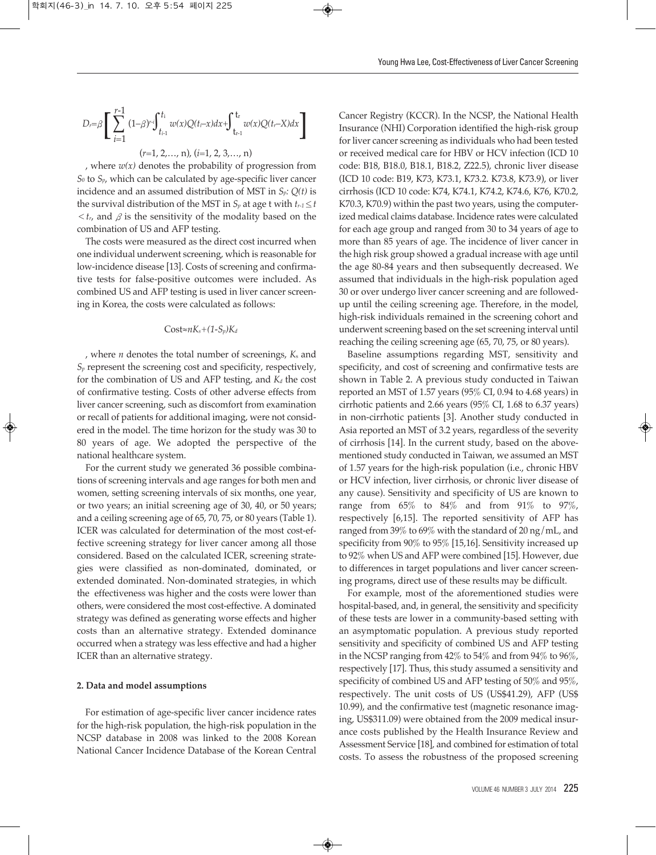$$
D_{r} = \beta \left[ \sum_{i=1}^{r-1} (1-\beta)^{r} \int_{t_{i-1}}^{t_i} w(x) Q(t_i-x) dx + \int_{t_{r-1}}^{t_r} w(x) Q(t_r-X) dx \right]
$$
  

$$
(r=1, 2, ..., n), (i=1, 2, 3, ..., n)
$$

, where  $w(x)$  denotes the probability of progression from *S0* to *Sp*, which can be calculated by age-specific liver cancer incidence and an assumed distribution of MST in *Sp: Q(t)* is the survival distribution of the MST in  $S_p$  at age t with  $t_{r-1} \leq t$  $<$ *tr*, and  $\beta$  is the sensitivity of the modality based on the combination of US and AFP testing.

The costs were measured as the direct cost incurred when one individual underwent screening, which is reasonable for low-incidence disease [13]. Costs of screening and confirmative tests for false-positive outcomes were included. As combined US and AFP testing is used in liver cancer screening in Korea, the costs were calculated as follows:

#### Cost≈*nKs*+*(1-Sp)Kd*

, where *n* denotes the total number of screenings, *K*<sup>s</sup> and *Sp* represent the screening cost and specificity, respectively, for the combination of US and AFP testing, and  $K_d$  the cost of confirmative testing. Costs of other adverse effects from liver cancer screening, such as discomfort from examination or recall of patients for additional imaging, were not considered in the model. The time horizon for the study was 30 to 80 years of age. We adopted the perspective of the national healthcare system.

For the current study we generated 36 possible combinations of screening intervals and age ranges for both men and women, setting screening intervals of six months, one year, or two years; an initial screening age of 30, 40, or 50 years; and a ceiling screening age of 65, 70, 75, or 80 years (Table 1). ICER was calculated for determination of the most cost-effective screening strategy for liver cancer among all those considered. Based on the calculated ICER, screening strategies were classified as non-dominated, dominated, or extended dominated. Non-dominated strategies, in which the effectiveness was higher and the costs were lower than others, were considered the most cost-effective. A dominated strategy was defined as generating worse effects and higher costs than an alternative strategy. Extended dominance occurred when a strategy was less effective and had a higher ICER than an alternative strategy.

#### **2. Data and model assumptions**

For estimation of age-specific liver cancer incidence rates for the high-risk population, the high-risk population in the NCSP database in 2008 was linked to the 2008 Korean National Cancer Incidence Database of the Korean Central

Cancer Registry (KCCR). In the NCSP, the National Health Insurance (NHI) Corporation identified the high-risk group for liver cancer screening as individuals who had been tested or received medical care for HBV or HCV infection (ICD 10 code: B18, B18.0, B18.1, B18.2, Z22.5), chronic liver disease (ICD 10 code: B19, K73, K73.1, K73.2. K73.8, K73.9), or liver cirrhosis (ICD 10 code: K74, K74.1, K74.2, K74.6, K76, K70.2, K70.3, K70.9) within the past two years, using the computerized medical claims database. Incidence rates were calculated for each age group and ranged from 30 to 34 years of age to more than 85 years of age. The incidence of liver cancer in the high risk group showed a gradual increase with age until the age 80-84 years and then subsequently decreased. We assumed that individuals in the high-risk population aged 30 or over undergo liver cancer screening and are followedup until the ceiling screening age. Therefore, in the model, high-risk individuals remained in the screening cohort and underwent screening based on the set screening interval until reaching the ceiling screening age (65, 70, 75, or 80 years).

Baseline assumptions regarding MST, sensitivity and specificity, and cost of screening and confirmative tests are shown in Table 2. A previous study conducted in Taiwan reported an MST of 1.57 years (95% CI, 0.94 to 4.68 years) in cirrhotic patients and 2.66 years (95% CI, 1.68 to 6.37 years) in non-cirrhotic patients [3]. Another study conducted in Asia reported an MST of 3.2 years, regardless of the severity of cirrhosis [14]. In the current study, based on the abovementioned study conducted in Taiwan, we assumed an MST of 1.57 years for the high-risk population (i.e., chronic HBV or HCV infection, liver cirrhosis, or chronic liver disease of any cause). Sensitivity and specificity of US are known to range from  $65\%$  to  $84\%$  and from  $91\%$  to  $97\%$ , respectively [6,15]. The reported sensitivity of AFP has ranged from 39% to 69% with the standard of 20 ng/mL, and specificity from 90% to 95% [15,16]. Sensitivity increased up to 92% when US and AFP were combined [15]. However, due to differences in target populations and liver cancer screening programs, direct use of these results may be difficult.

For example, most of the aforementioned studies were hospital-based, and, in general, the sensitivity and specificity of these tests are lower in a community-based setting with an asymptomatic population. A previous study reported sensitivity and specificity of combined US and AFP testing in the NCSP ranging from 42% to 54% and from 94% to 96%, respectively [17]. Thus, this study assumed a sensitivity and specificity of combined US and AFP testing of 50% and 95%, respectively. The unit costs of US (US\$41.29), AFP (US\$ 10.99), and the confirmative test (magnetic resonance imaging, US\$311.09) were obtained from the 2009 medical insurance costs published by the Health Insurance Review and Assessment Service [18], and combined for estimation of total costs. To assess the robustness of the proposed screening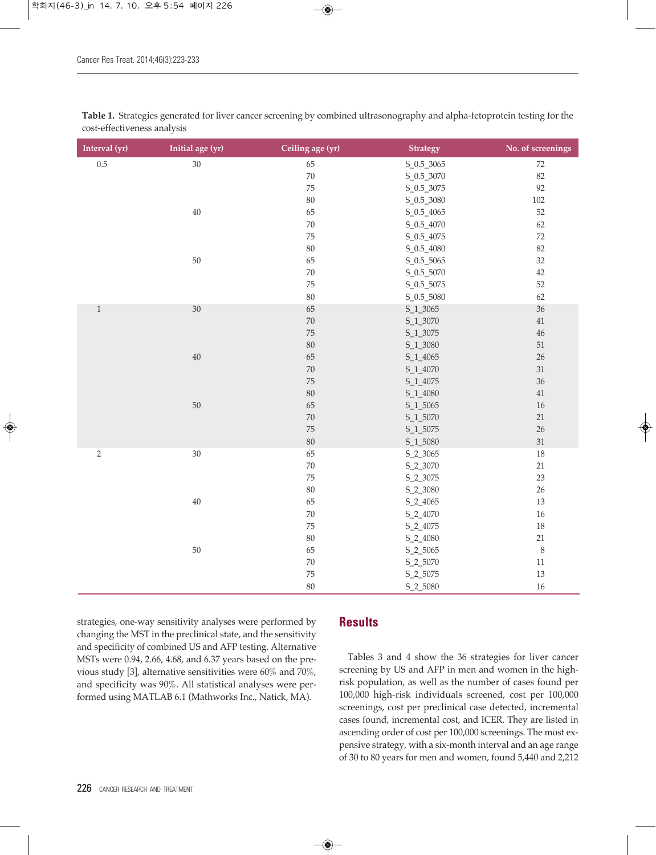| Interval (yr)  | Initial age (yr) | Ceiling age (yr) | <b>Strategy</b>  | No. of screenings |
|----------------|------------------|------------------|------------------|-------------------|
| $0.5\,$        | 30               | 65               | S_0.5_3065       | $72\,$            |
|                |                  | $70\,$           | $S_0.5_{0.3070}$ | 82                |
|                |                  | $\rm 75$         | $S_0.5_{3075}$   | 92                |
|                |                  | $80\,$           | S_0.5_3080       | 102               |
|                | $40\,$           | 65               | $S_0.5_4065$     | 52                |
|                |                  | $70\,$           | S_0.5_4070       | 62                |
|                |                  | 75               | S_0.5_4075       | $72\,$            |
|                |                  | 80               | S_0.5_4080       | 82                |
|                | $50\,$           | 65               | $S_0.5_{-5065}$  | $32\,$            |
|                |                  | $70\,$           | S_0.5_5070       | $42\,$            |
|                |                  | 75               | S_0.5_5075       | 52                |
|                |                  | $80\,$           | $S_0.5_{5080}$   | 62                |
| $\,1\,$        | $30\,$           | 65               | S_1_3065         | 36                |
|                |                  | 70               | S_1_3070         | $41\,$            |
|                |                  | 75               | S_1_3075         | $46\,$            |
|                |                  | 80               | S_1_3080         | $51\,$            |
|                | $40\,$           | 65               | S_1_4065         | 26                |
|                |                  | $70\,$           | S_1_4070         | $31\,$            |
|                |                  | 75               | S_1_4075         | 36                |
|                |                  | 80               | S_1_4080         | $41\,$            |
|                | $50\,$           | 65               | S_1_5065         | $16\,$            |
|                |                  | $70\,$           | S_1_5070         | $21\,$            |
|                |                  | 75               | S_1_5075         | 26                |
|                |                  | $80\,$           | S_1_5080         | 31                |
| $\overline{2}$ | $30\,$           | 65               | S_2_3065         | $18\,$            |
|                |                  | $70\,$           | S_2_3070         | $21\,$            |
|                |                  | 75               | S_2_3075         | 23                |
|                |                  | $80\,$           | S_2_3080         | $26\,$            |
|                | $40\,$           | 65               | S_2_4065         | 13                |
|                |                  | $70\,$           | S_2_4070         | $16\,$            |
|                |                  | 75               | S_2_4075         | $18\,$            |
|                |                  | $80\,$           | S_2_4080         | $21\,$            |
|                | $50\,$           | 65               | S_2_5065         | $\,8\,$           |
|                |                  | $70\,$           | S_2_5070         | $11\,$            |
|                |                  | 75               | S_2_5075         | $13\,$            |
|                |                  | 80               | S_2_5080         | 16                |

**Table 1.** Strategies generated for liver cancer screening by combined ultrasonography and alpha-fetoprotein testing for the cost-effectiveness analysis

strategies, one-way sensitivity analyses were performed by changing the MST in the preclinical state, and the sensitivity and specificity of combined US and AFP testing. Alternative MSTs were 0.94, 2.66, 4.68, and 6.37 years based on the previous study [3], alternative sensitivities were 60% and 70%, and specificity was 90%. All statistical analyses were performed using MATLAB 6.1 (Mathworks Inc., Natick, MA).

# **Results**

Tables 3 and 4 show the 36 strategies for liver cancer screening by US and AFP in men and women in the highrisk population, as well as the number of cases found per 100,000 high-risk individuals screened, cost per 100,000 screenings, cost per preclinical case detected, incremental cases found, incremental cost, and ICER. They are listed in ascending order of cost per 100,000 screenings. The most expensive strategy, with a six-month interval and an age range of 30 to 80 years for men and women, found 5,440 and 2,212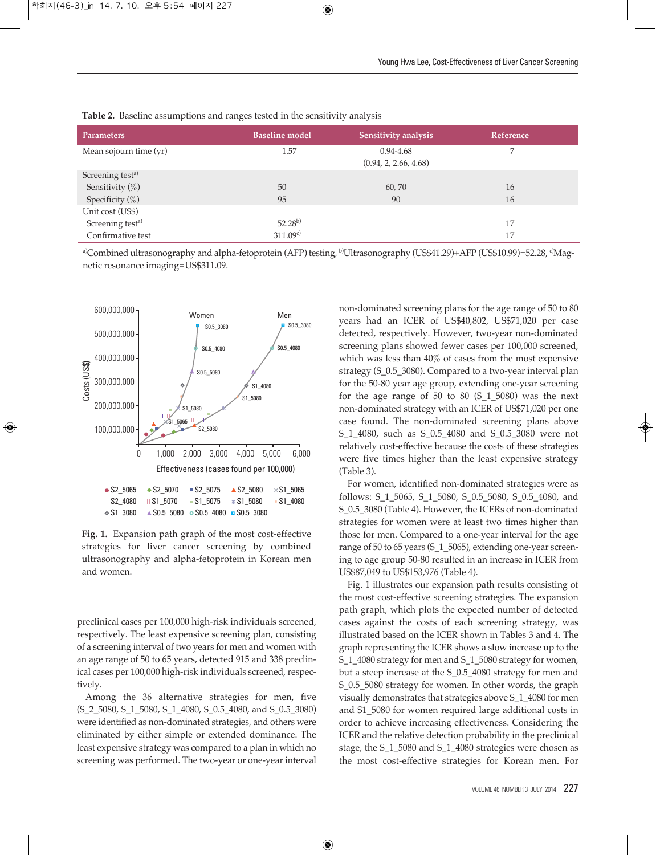| <b>Parameters</b>            | <b>Baseline model</b> | Sensitivity analysis                   | Reference |
|------------------------------|-----------------------|----------------------------------------|-----------|
| Mean sojourn time (yr)       | 1.57                  | $0.94 - 4.68$<br>(0.94, 2, 2.66, 4.68) |           |
| Screening test <sup>a)</sup> |                       |                                        |           |
| Sensitivity (%)              | 50                    | 60,70                                  | 16        |
| Specificity $(\%)$           | 95                    | 90                                     | 16        |
| Unit cost (US\$)             |                       |                                        |           |
| Screening test <sup>a)</sup> | $52.28^{b}$           |                                        | 17        |
| Confirmative test            | 311.09c               |                                        | 17        |

**Table 2.** Baseline assumptions and ranges tested in the sensitivity analysis

a)Combined ultrasonography and alpha-fetoprotein (AFP) testing, <sup>b)</sup>Ultrasonography (US\$41.29)+AFP (US\$10.99)=52.28, <sup>c</sup>Magnetic resonance imaging=US\$311.09.



**Fig. 1.** Expansion path graph of the most cost-effective strategies for liver cancer screening by combined ultrasonography and alpha-fetoprotein in Korean men and women.

preclinical cases per 100,000 high-risk individuals screened, respectively. The least expensive screening plan, consisting of a screening interval of two years for men and women with an age range of 50 to 65 years, detected 915 and 338 preclinical cases per 100,000 high-risk individuals screened, respectively.

Among the 36 alternative strategies for men, five (S\_2\_5080, S\_1\_5080, S\_1\_4080, S\_0.5\_4080, and S\_0.5\_3080) were identified as non-dominated strategies, and others were eliminated by either simple or extended dominance. The least expensive strategy was compared to a plan in which no screening was performed. The two-year or one-year interval

non-dominated screening plans for the age range of 50 to 80 years had an ICER of US\$40,802, US\$71,020 per case detected, respectively. However, two-year non-dominated screening plans showed fewer cases per 100,000 screened, which was less than 40% of cases from the most expensive strategy (S\_0.5\_3080). Compared to a two-year interval plan for the 50-80 year age group, extending one-year screening for the age range of 50 to 80  $(S_11_5080)$  was the next non-dominated strategy with an ICER of US\$71,020 per one case found. The non-dominated screening plans above S\_1\_4080, such as S\_0.5\_4080 and S\_0.5\_3080 were not relatively cost-effective because the costs of these strategies were five times higher than the least expensive strategy (Table 3).

For women, identified non-dominated strategies were as follows: S\_1\_5065, S\_1\_5080, S\_0.5\_5080, S\_0.5\_4080, and S\_0.5\_3080 (Table 4). However, the ICERs of non-dominated strategies for women were at least two times higher than those for men. Compared to a one-year interval for the age range of 50 to 65 years (S\_1\_5065), extending one-year screening to age group 50-80 resulted in an increase in ICER from US\$87,049 to US\$153,976 (Table 4).

Fig. 1 illustrates our expansion path results consisting of the most cost-effective screening strategies. The expansion path graph, which plots the expected number of detected cases against the costs of each screening strategy, was illustrated based on the ICER shown in Tables 3 and 4. The graph representing the ICER shows a slow increase up to the S\_1\_4080 strategy for men and S\_1\_5080 strategy for women, but a steep increase at the S\_0.5\_4080 strategy for men and S\_0.5\_5080 strategy for women. In other words, the graph visually demonstrates that strategies above S\_1\_4080 for men and S1\_5080 for women required large additional costs in order to achieve increasing effectiveness. Considering the ICER and the relative detection probability in the preclinical stage, the S\_1\_5080 and S\_1\_4080 strategies were chosen as the most cost-effective strategies for Korean men. For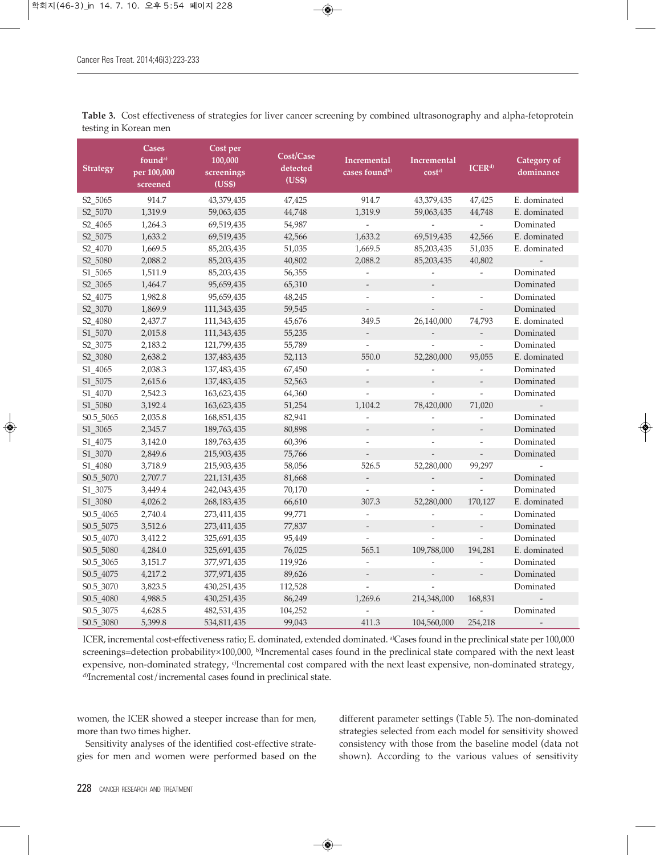| <b>Strategy</b>      | <b>Cases</b><br>found <sup>a)</sup><br>per 100,000 | Cost per<br>100,000<br>screenings | Cost/Case<br>detected<br>(US\$) | Incremental<br>cases found <sup>b)</sup> | Incremental<br>cost <sub>c</sub> | ICER <sup>d)</sup>       | Category of<br>dominance |
|----------------------|----------------------------------------------------|-----------------------------------|---------------------------------|------------------------------------------|----------------------------------|--------------------------|--------------------------|
|                      | screened                                           | (US\$)                            |                                 |                                          |                                  |                          |                          |
| S <sub>2</sub> _5065 | 914.7                                              | 43,379,435                        | 47,425                          | 914.7                                    | 43,379,435                       | 47,425                   | E. dominated             |
| S2_5070              | 1,319.9                                            | 59,063,435                        | 44,748                          | 1,319.9                                  | 59,063,435                       | 44,748                   | E. dominated             |
| S2_4065              | 1,264.3                                            | 69,519,435                        | 54,987                          |                                          | $\overline{\phantom{a}}$         | $\frac{1}{2}$            | Dominated                |
| S2_5075              | 1,633.2                                            | 69,519,435                        | 42,566                          | 1,633.2                                  | 69,519,435                       | 42,566                   | E. dominated             |
| S2_4070              | 1,669.5                                            | 85,203,435                        | 51,035                          | 1,669.5                                  | 85,203,435                       | 51,035                   | E. dominated             |
| S2_5080              | 2,088.2                                            | 85,203,435                        | 40,802                          | 2,088.2                                  | 85,203,435                       | 40,802                   |                          |
| S1_5065              | 1,511.9                                            | 85,203,435                        | 56,355                          | $\overline{\phantom{a}}$                 | $\overline{\phantom{a}}$         | $\overline{\phantom{a}}$ | Dominated                |
| S <sub>2_3065</sub>  | 1,464.7                                            | 95,659,435                        | 65,310                          | $\frac{1}{2}$                            |                                  |                          | Dominated                |
| S2_4075              | 1,982.8                                            | 95,659,435                        | 48,245                          | $\overline{\phantom{a}}$                 |                                  |                          | Dominated                |
| S2_3070              | 1,869.9                                            | 111,343,435                       | 59,545                          | $\overline{\phantom{a}}$                 | $\frac{1}{2}$                    | $\overline{\phantom{a}}$ | Dominated                |
| S2_4080              | 2,437.7                                            | 111,343,435                       | 45,676                          | 349.5                                    | 26,140,000                       | 74,793                   | E. dominated             |
| S1_5070              | 2,015.8                                            | 111,343,435                       | 55,235                          | $\overline{\phantom{a}}$                 |                                  | $\overline{\phantom{a}}$ | Dominated                |
| S2_3075              | 2,183.2                                            | 121,799,435                       | 55,789                          | $\frac{1}{2}$                            |                                  | $\omega$                 | Dominated                |
| S2_3080              | 2,638.2                                            | 137,483,435                       | 52,113                          | 550.0                                    | 52,280,000                       | 95,055                   | E. dominated             |
| S1_4065              | 2,038.3                                            | 137,483,435                       | 67,450                          | $\overline{\phantom{a}}$                 |                                  | $\overline{\phantom{a}}$ | Dominated                |
| S1_5075              | 2,615.6                                            | 137,483,435                       | 52,563                          |                                          |                                  | $\frac{1}{2}$            | Dominated                |
| S1_4070              | 2,542.3                                            | 163,623,435                       | 64,360                          | $\overline{a}$                           | $\overline{a}$                   | $\frac{1}{2}$            | Dominated                |
| S1_5080              | 3,192.4                                            | 163,623,435                       | 51,254                          | 1,104.2                                  | 78,420,000                       | 71,020                   | $\overline{a}$           |
| S0.5_5065            | 2,035.8                                            | 168,851,435                       | 82,941                          |                                          | $\overline{a}$                   | $\frac{1}{2}$            | Dominated                |
| S1_3065              | 2,345.7                                            | 189,763,435                       | 80,898                          |                                          |                                  | $\overline{\phantom{a}}$ | Dominated                |
| S1_4075              | 3,142.0                                            | 189,763,435                       | 60,396                          | $\frac{1}{2}$                            | $\overline{\phantom{a}}$         | $\overline{\phantom{a}}$ | Dominated                |
| S1_3070              | 2,849.6                                            | 215,903,435                       | 75,766                          | $\overline{\phantom{a}}$                 | $\overline{\phantom{a}}$         | $\overline{\phantom{a}}$ | Dominated                |
| S1_4080              | 3,718.9                                            | 215,903,435                       | 58,056                          | 526.5                                    | 52,280,000                       | 99,297                   |                          |
| S0.5_5070            | 2,707.7                                            | 221, 131, 435                     | 81,668                          | $\overline{\phantom{a}}$                 |                                  | $\overline{\phantom{a}}$ | Dominated                |
| S1_3075              | 3,449.4                                            | 242,043,435                       | 70,170                          | $\overline{\phantom{a}}$                 | $\overline{\phantom{a}}$         | $\overline{\phantom{a}}$ | Dominated                |
| S1_3080              | 4,026.2                                            | 268, 183, 435                     | 66,610                          | 307.3                                    | 52,280,000                       | 170,127                  | E. dominated             |
| S0.5_4065            | 2,740.4                                            | 273,411,435                       | 99,771                          | $\overline{a}$                           |                                  |                          | Dominated                |
| S0.5_5075            | 3,512.6                                            | 273,411,435                       | 77,837                          |                                          |                                  | $\overline{\phantom{a}}$ | Dominated                |
| S0.5_4070            | 3,412.2                                            | 325,691,435                       | 95,449                          | $\overline{\phantom{a}}$                 |                                  | $\overline{\phantom{a}}$ | Dominated                |
| S0.5_5080            | 4,284.0                                            | 325,691,435                       | 76,025                          | 565.1                                    | 109,788,000                      | 194,281                  | E. dominated             |
| S0.5_3065            | 3,151.7                                            | 377,971,435                       | 119,926                         |                                          |                                  |                          | Dominated                |
| S0.5_4075            | 4,217.2                                            | 377,971,435                       | 89,626                          | $\overline{\phantom{a}}$                 | $\overline{\phantom{a}}$         | $\overline{\phantom{a}}$ | Dominated                |
| S0.5_3070            | 3,823.5                                            | 430,251,435                       | 112,528                         | $\frac{1}{2}$                            | $\overline{a}$                   |                          | Dominated                |
| S0.5_4080            | 4,988.5                                            | 430, 251, 435                     | 86,249                          | 1,269.6                                  | 214,348,000                      | 168,831                  |                          |
| S0.5_3075            | 4,628.5                                            | 482,531,435                       | 104,252                         |                                          |                                  |                          | Dominated                |
| S0.5_3080            | 5,399.8                                            | 534,811,435                       | 99,043                          | 411.3                                    | 104,560,000                      | 254,218                  | $\overline{\phantom{a}}$ |

**Table 3.** Cost effectiveness of strategies for liver cancer screening by combined ultrasonography and alpha-fetoprotein testing in Korean men

ICER, incremental cost-effectiveness ratio; E. dominated, extended dominated. <sup>a)</sup>Cases found in the preclinical state per 100,000 screenings=detection probability×100,000, <sup>b)</sup>Incremental cases found in the preclinical state compared with the next least expensive, non-dominated strategy, <sup>o</sup>Incremental cost compared with the next least expensive, non-dominated strategy, d) Incremental cost/incremental cases found in preclinical state.

women, the ICER showed a steeper increase than for men, more than two times higher.

Sensitivity analyses of the identified cost-effective strategies for men and women were performed based on the different parameter settings (Table 5). The non-dominated strategies selected from each model for sensitivity showed consistency with those from the baseline model (data not shown). According to the various values of sensitivity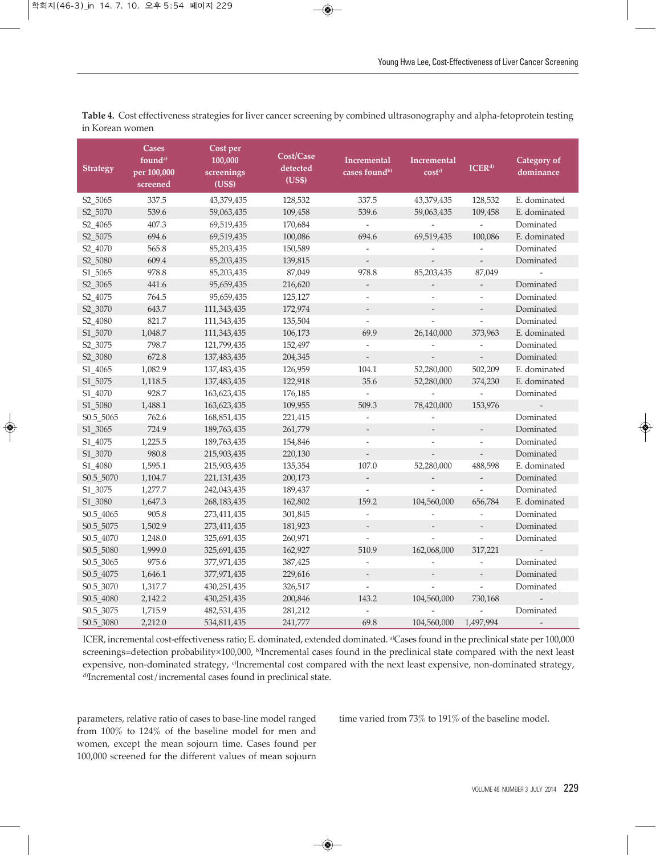| <b>Strategy</b>        | Cases<br>found <sup>a)</sup><br>per 100,000<br>screened | Cost per<br>100,000<br>screenings<br>(US\$) | Cost/Case<br>detected<br>(US\$) | <b>Incremental</b><br>cases found <sup>b)</sup> | Incremental<br>cost <sub>c</sub> | ICER <sup>d</sup>        | Category of<br>dominance |
|------------------------|---------------------------------------------------------|---------------------------------------------|---------------------------------|-------------------------------------------------|----------------------------------|--------------------------|--------------------------|
| S2_5065                | 337.5                                                   | 43,379,435                                  | 128,532                         | 337.5                                           | 43,379,435                       | 128,532                  | E. dominated             |
| S2_5070                | 539.6                                                   | 59,063,435                                  | 109,458                         | 539.6                                           | 59,063,435                       | 109,458                  | E. dominated             |
| S2_4065                | 407.3                                                   | 69,519,435                                  | 170,684                         | $\sim$                                          | $\bar{\phantom{a}}$              | $\frac{1}{2}$            | Dominated                |
| S2_5075                | 694.6                                                   | 69,519,435                                  | 100,086                         | 694.6                                           | 69,519,435                       | 100,086                  | E. dominated             |
| S2_4070                | 565.8                                                   | 85,203,435                                  | 150,589                         | $\overline{\phantom{a}}$                        | $\frac{1}{2}$                    | $\frac{1}{2}$            | Dominated                |
| S <sub>2</sub> _5080   | 609.4                                                   | 85,203,435                                  | 139,815                         | $\overline{\phantom{a}}$                        | $\overline{\phantom{a}}$         | $\overline{\phantom{a}}$ | Dominated                |
| S1_5065                | 978.8                                                   | 85,203,435                                  | 87,049                          | 978.8                                           | 85,203,435                       | 87,049                   | $\overline{a}$           |
| S2_3065                | 441.6                                                   | 95,659,435                                  | 216,620                         | $\overline{\phantom{a}}$                        |                                  | $\overline{\phantom{a}}$ | Dominated                |
| S2_4075                | 764.5                                                   | 95,659,435                                  | 125,127                         | $\overline{\phantom{a}}$                        |                                  | $\overline{\phantom{a}}$ | Dominated                |
| S2_3070                | 643.7                                                   | 111,343,435                                 | 172,974                         | $\overline{\phantom{a}}$                        | $\overline{\phantom{a}}$         | $\overline{\phantom{a}}$ | Dominated                |
| S2_4080                | 821.7                                                   | 111,343,435                                 | 135,504                         | $\overline{\phantom{a}}$                        | $\overline{a}$                   | $\overline{\phantom{a}}$ | Dominated                |
| S1_5070                | 1,048.7                                                 | 111,343,435                                 | 106,173                         | 69.9                                            | 26,140,000                       | 373,963                  | E. dominated             |
| S2_3075                | 798.7                                                   | 121,799,435                                 | 152,497                         | $\omega$                                        | $\frac{1}{2}$                    | $\overline{\phantom{a}}$ | Dominated                |
| S <sub>2_3080</sub>    | 672.8                                                   | 137,483,435                                 | 204,345                         | $\bar{\phantom{a}}$                             | $\overline{\phantom{a}}$         | $\mathcal{L}$            | Dominated                |
| S1_4065                | 1,082.9                                                 | 137,483,435                                 | 126,959                         | 104.1                                           | 52,280,000                       | 502,209                  | E. dominated             |
| S1_5075                | 1,118.5                                                 | 137,483,435                                 | 122,918                         | 35.6                                            | 52,280,000                       | 374,230                  | E. dominated             |
| S1_4070                | 928.7                                                   | 163,623,435                                 | 176,185                         | $\overline{\phantom{a}}$                        | $\overline{a}$                   | $\frac{1}{2}$            | Dominated                |
| S1_5080                | 1,488.1                                                 | 163,623,435                                 | 109,955                         | 509.3                                           | 78,420,000                       | 153,976                  | $\overline{\phantom{a}}$ |
| S0.5_5065              | 762.6                                                   | 168,851,435                                 | 221,415                         |                                                 |                                  |                          | Dominated                |
| S1_3065                | 724.9                                                   | 189,763,435                                 | 261,779                         |                                                 |                                  |                          | Dominated                |
| S1_4075                | 1,225.5                                                 | 189,763,435                                 | 154,846                         | $\overline{\phantom{a}}$                        | $\overline{\phantom{0}}$         | $\overline{\phantom{a}}$ | Dominated                |
| S1_3070                | 980.8                                                   | 215,903,435                                 | 220,130                         | $\overline{\phantom{a}}$                        | $\overline{a}$                   | $\overline{\phantom{a}}$ | Dominated                |
| S1_4080                | 1,595.1                                                 | 215,903,435                                 | 135,354                         | 107.0                                           | 52,280,000                       | 488,598                  | E. dominated             |
| S0.5_5070              | 1,104.7                                                 | 221, 131, 435                               | 200,173                         | $\overline{\phantom{a}}$                        |                                  | $\bar{\phantom{a}}$      | Dominated                |
| S1_3075                | 1,277.7                                                 | 242,043,435                                 | 189,437                         | $\overline{\phantom{a}}$                        |                                  | $\overline{\phantom{a}}$ | Dominated                |
| S1_3080                | 1,647.3                                                 | 268,183,435                                 | 162,802                         | 159.2                                           | 104,560,000                      | 656,784                  | E. dominated             |
| S0.5_4065              | 905.8                                                   | 273,411,435                                 | 301,845                         | $\overline{a}$                                  | $\overline{a}$                   | $\overline{\phantom{a}}$ | Dominated                |
| S0.5_5075              | 1,502.9                                                 | 273,411,435                                 | 181,923                         | $\overline{\phantom{a}}$                        |                                  | $\overline{\phantom{a}}$ | Dominated                |
| S0.5_4070              | 1,248.0                                                 | 325,691,435                                 | 260,971                         | $\overline{\phantom{a}}$                        |                                  | $\frac{1}{2}$            | Dominated                |
| S0.5_5080              | 1,999.0                                                 | 325,691,435                                 | 162,927                         | 510.9                                           | 162,068,000                      | 317,221                  | $\overline{\phantom{a}}$ |
| S <sub>0.5</sub> _3065 | 975.6                                                   | 377,971,435                                 | 387,425                         | $\overline{a}$                                  |                                  | $\overline{\phantom{a}}$ | Dominated                |
| S0.5_4075              | 1,646.1                                                 | 377,971,435                                 | 229,616                         |                                                 |                                  |                          | Dominated                |
| S0.5_3070              | 1,317.7                                                 | 430,251,435                                 | 326,517                         | $\overline{\phantom{a}}$                        | $\overline{a}$                   | $\overline{a}$           | Dominated                |
| S0.5_4080              | 2,142.2                                                 | 430,251,435                                 | 200,846                         | 143.2                                           | 104,560,000                      | 730,168                  | $\overline{\phantom{a}}$ |
| S0.5_3075              | 1,715.9                                                 | 482,531,435                                 | 281,212                         | $\overline{\phantom{a}}$                        |                                  | $\omega$                 | Dominated                |
| S0.5_3080              | 2,212.0                                                 | 534,811,435                                 | 241,777                         | 69.8                                            | 104,560,000                      | 1,497,994                | $\overline{\phantom{a}}$ |

**Table 4.** Cost effectiveness strategies for liver cancer screening by combined ultrasonography and alpha-fetoprotein testing in Korean women

ICER, incremental cost-effectiveness ratio; E. dominated, extended dominated. <sup>a)</sup>Cases found in the preclinical state per 100,000 screenings=detection probability×100,000, <sup>b)</sup>Incremental cases found in the preclinical state compared with the next least expensive, non-dominated strategy, <sup>o</sup>Incremental cost compared with the next least expensive, non-dominated strategy, d) Incremental cost/incremental cases found in preclinical state.

parameters, relative ratio of cases to base-line model ranged from 100% to 124% of the baseline model for men and women, except the mean sojourn time. Cases found per 100,000 screened for the different values of mean sojourn

time varied from 73% to 191% of the baseline model.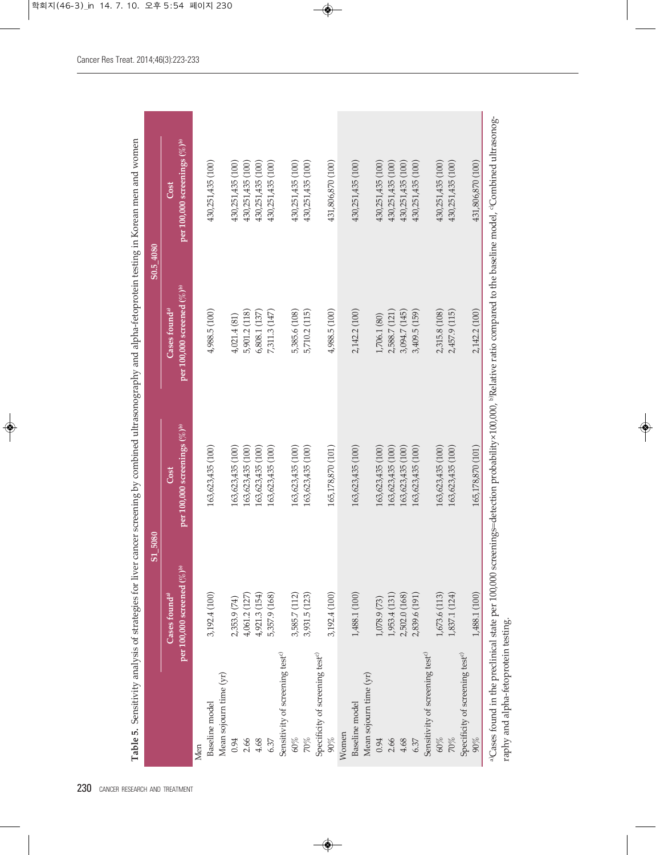| Table 5. Sensitivity analysis of strategies for liver |                                                                                   | cancer screening by combined ultrasonography and alpha-fetoprotein testing in Korean men and women |                                                                        |                                                                                                                                                                   |
|-------------------------------------------------------|-----------------------------------------------------------------------------------|----------------------------------------------------------------------------------------------------|------------------------------------------------------------------------|-------------------------------------------------------------------------------------------------------------------------------------------------------------------|
|                                                       | S <sub>1_5080</sub>                                                               |                                                                                                    |                                                                        | S <sub>0</sub> .5 4080                                                                                                                                            |
|                                                       | per 100,000 screened $(\%)$ <sup>b)</sup><br>$\mathbb C$ ases found <sup>a)</sup> | per 100,000 screenings $(\%)$ <sup>b)</sup><br>Cost                                                | per 100,000 screened $(\%)$ <sup>b)</sup><br>Cases found <sup>a)</sup> | per 100,000 screenings $(\%)$ <sup>b)</sup><br>Cost                                                                                                               |
| Men                                                   |                                                                                   |                                                                                                    |                                                                        |                                                                                                                                                                   |
| Baseline model                                        | 3,192.4 (100)                                                                     | 163,623,435 (100)                                                                                  | 4,988.5 (100)                                                          | 430,251,435 (100)                                                                                                                                                 |
| Mean sojourn time (yr)                                |                                                                                   |                                                                                                    |                                                                        |                                                                                                                                                                   |
| 0.94                                                  | 2,353.9 (74)                                                                      | 163,623,435 (100)                                                                                  | 4,021.4(81)                                                            | 430,251,435 (100)                                                                                                                                                 |
| 2.66                                                  | 4,061.2(127)                                                                      | 163,623,435 (100)                                                                                  | 5,901.2 (118)                                                          | 430,251,435 (100)                                                                                                                                                 |
| 4.68                                                  | 4,921.3 (154)                                                                     | 163,623,435 (100)                                                                                  | 6,808.1 (137)                                                          | 430,251,435 (100)                                                                                                                                                 |
| 6.37                                                  | 5,357.9 (168)                                                                     | 163,623,435 (100)                                                                                  | 7,311.3 (147)                                                          | 430,251,435 (100)                                                                                                                                                 |
| Sensitivity of screening test <sup>c)</sup>           |                                                                                   |                                                                                                    |                                                                        |                                                                                                                                                                   |
| $60\%$                                                | 3,585.7 (112)                                                                     | 163,623,435 (100)                                                                                  | 5,385.6 (108)                                                          | 430.251,435 (100)                                                                                                                                                 |
| 70%                                                   | 3,931.5 (123)                                                                     | 163,623,435 (100)                                                                                  | 5,710.2 (115)                                                          | 430,251,435 (100)                                                                                                                                                 |
| Specificity of screening test <sup>c)</sup>           |                                                                                   |                                                                                                    |                                                                        |                                                                                                                                                                   |
| $90\%$                                                | 3,192.4 (100)                                                                     | 165,178,870 (101)                                                                                  | 4,988.5 (100)                                                          | 431,806,870 (100)                                                                                                                                                 |
| Women                                                 |                                                                                   |                                                                                                    |                                                                        |                                                                                                                                                                   |
| Baseline model                                        | 1,488.1 (100)                                                                     | 163,623,435 (100)                                                                                  | 2,142.2 (100)                                                          | 430,251,435 (100)                                                                                                                                                 |
| Mean sojourn time (yr)                                |                                                                                   |                                                                                                    |                                                                        |                                                                                                                                                                   |
| 0.94                                                  | 1,078.9 (73)                                                                      | 163,623,435 (100)                                                                                  | 1,706.1 (80)                                                           | 430,251,435 (100)                                                                                                                                                 |
| 2.66                                                  | 1,953.4 (131)                                                                     | 163,623,435 (100)                                                                                  | 2,588.7 (121)                                                          | 430,251,435 (100)                                                                                                                                                 |
| 4.68                                                  | 2,502.0 (168)                                                                     | 163,623,435 (100)                                                                                  | 3,094.7 (145)                                                          | 430,251,435 (100)                                                                                                                                                 |
| 6.37                                                  | 2,839.6 (191)                                                                     | 163,623,435 (100)                                                                                  | 3,409.5 (159)                                                          | 430,251,435 (100)                                                                                                                                                 |
| Sensitivity of screening test <sup>c)</sup>           |                                                                                   |                                                                                                    |                                                                        |                                                                                                                                                                   |
| $60\%$                                                | 1,673.6 (113)                                                                     | 163,623,435 (100)                                                                                  | 2,315.8 (108)                                                          | 430, 251, 435 (100)                                                                                                                                               |
| 70%                                                   | 1,837.1 (124)                                                                     | 163,623,435 (100)                                                                                  | 2,457.9 (115)                                                          | 430,251,435 (100)                                                                                                                                                 |
| Specificity of screening test <sup>c)</sup>           |                                                                                   |                                                                                                    |                                                                        |                                                                                                                                                                   |
| 90%                                                   | 1,488.1 (100)                                                                     | 165,178,870 (101)                                                                                  | 2,142.2 (100)                                                          | 431,806,870 (100)                                                                                                                                                 |
|                                                       |                                                                                   |                                                                                                    |                                                                        | aCases found in the preclinical state per 100,000 screenings=detection probability×100,000, bRelative ratio compared to the baseline model, °Combined ultrasonog- |

raphy and alpha-fetoprotein testing. raphy and alpha-fetoprotein testing.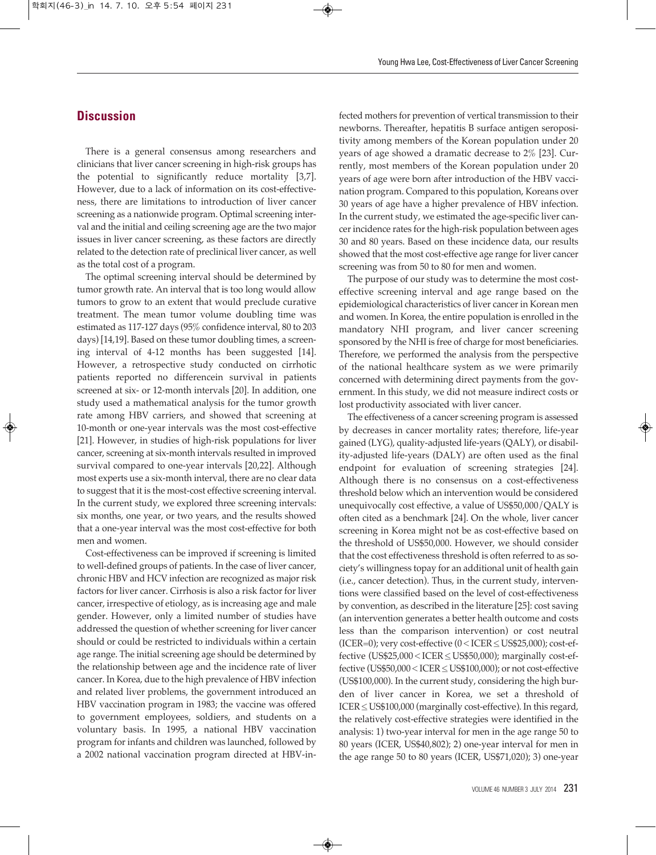# **Discussion**

There is a general consensus among researchers and clinicians that liver cancer screening in high-risk groups has the potential to significantly reduce mortality [3,7]. However, due to a lack of information on its cost-effectiveness, there are limitations to introduction of liver cancer screening as a nationwide program. Optimal screening interval and the initial and ceiling screening age are the two major issues in liver cancer screening, as these factors are directly related to the detection rate of preclinical liver cancer, as well as the total cost of a program.

The optimal screening interval should be determined by tumor growth rate. An interval that is too long would allow tumors to grow to an extent that would preclude curative treatment. The mean tumor volume doubling time was estimated as 117-127 days (95% confidence interval, 80 to 203 days) [14,19]. Based on these tumor doubling times, a screening interval of 4-12 months has been suggested [14]. However, a retrospective study conducted on cirrhotic patients reported no differencein survival in patients screened at six- or 12-month intervals [20]. In addition, one study used a mathematical analysis for the tumor growth rate among HBV carriers, and showed that screening at 10-month or one-year intervals was the most cost-effective [21]. However, in studies of high-risk populations for liver cancer, screening at six-month intervals resulted in improved survival compared to one-year intervals [20,22]. Although most experts use a six-month interval, there are no clear data to suggest that it is the most-cost effective screening interval. In the current study, we explored three screening intervals: six months, one year, or two years, and the results showed that a one-year interval was the most cost-effective for both men and women.

Cost-effectiveness can be improved if screening is limited to well-defined groups of patients. In the case of liver cancer, chronic HBV and HCV infection are recognized as major risk factors for liver cancer. Cirrhosis is also a risk factor for liver cancer, irrespective of etiology, as is increasing age and male gender. However, only a limited number of studies have addressed the question of whether screening for liver cancer should or could be restricted to individuals within a certain age range. The initial screening age should be determined by the relationship between age and the incidence rate of liver cancer. In Korea, due to the high prevalence of HBV infection and related liver problems, the government introduced an HBV vaccination program in 1983; the vaccine was offered to government employees, soldiers, and students on a voluntary basis. In 1995, a national HBV vaccination program for infants and children was launched, followed by a 2002 national vaccination program directed at HBV-in-

fected mothers for prevention of vertical transmission to their newborns. Thereafter, hepatitis B surface antigen seropositivity among members of the Korean population under 20 years of age showed a dramatic decrease to 2% [23]. Currently, most members of the Korean population under 20 years of age were born after introduction of the HBV vaccination program. Compared to this population, Koreans over 30 years of age have a higher prevalence of HBV infection. In the current study, we estimated the age-specific liver cancer incidence rates for the high-risk population between ages 30 and 80 years. Based on these incidence data, our results showed that the most cost-effective age range for liver cancer screening was from 50 to 80 for men and women.

The purpose of our study was to determine the most costeffective screening interval and age range based on the epidemiological characteristics of liver cancer in Korean men and women. In Korea, the entire population is enrolled in the mandatory NHI program, and liver cancer screening sponsored by the NHI is free of charge for most beneficiaries. Therefore, we performed the analysis from the perspective of the national healthcare system as we were primarily concerned with determining direct payments from the government. In this study, we did not measure indirect costs or lost productivity associated with liver cancer.

The effectiveness of a cancer screening program is assessed by decreases in cancer mortality rates; therefore, life-year gained (LYG), quality-adjusted life-years (QALY), or disability-adjusted life-years (DALY) are often used as the final endpoint for evaluation of screening strategies [24]. Although there is no consensus on a cost-effectiveness threshold below which an intervention would be considered unequivocally cost effective, a value of US\$50,000/QALY is often cited as a benchmark [24]. On the whole, liver cancer screening in Korea might not be as cost-effective based on the threshold of US\$50,000. However, we should consider that the cost effectiveness threshold is often referred to as society's willingness topay for an additional unit of health gain (i.e., cancer detection). Thus, in the current study, interventions were classified based on the level of cost-effectiveness by convention, as described in the literature [25]: cost saving (an intervention generates a better health outcome and costs less than the comparison intervention) or cost neutral (ICER=0); very cost-effective (0<ICER≤US\$25,000); cost-effective (US\$25,000<ICER≤US\$50,000); marginally cost-effective (US\$50,000<ICER≤US\$100,000); or not cost-effective (US\$100,000). In the current study, considering the high burden of liver cancer in Korea, we set a threshold of ICER≤US\$100,000 (marginally cost-effective). In this regard, the relatively cost-effective strategies were identified in the analysis: 1) two-year interval for men in the age range 50 to 80 years (ICER, US\$40,802); 2) one-year interval for men in the age range 50 to 80 years (ICER, US\$71,020); 3) one-year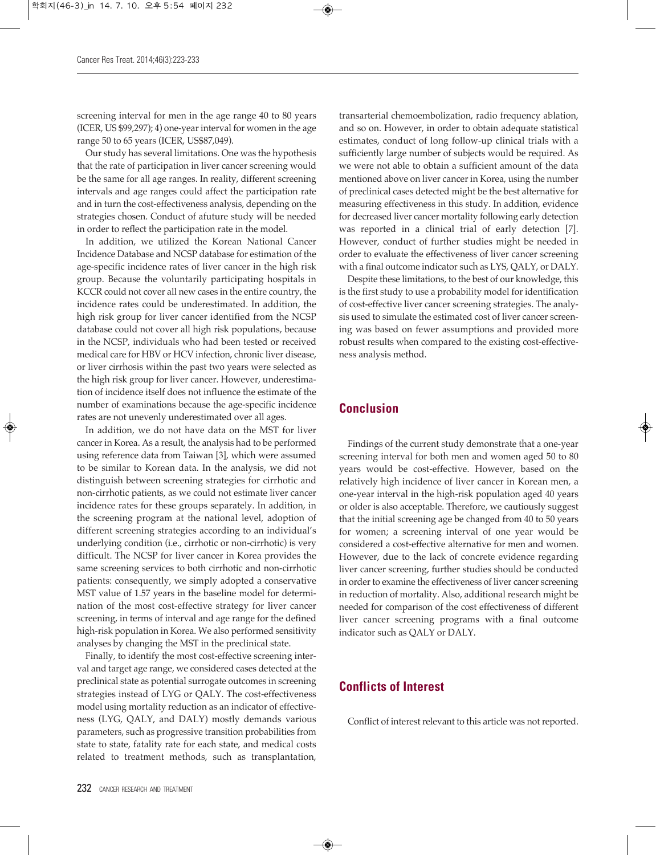screening interval for men in the age range 40 to 80 years (ICER, US \$99,297); 4) one-year interval for women in the age range 50 to 65 years (ICER, US\$87,049).

Our study has several limitations. One was the hypothesis that the rate of participation in liver cancer screening would be the same for all age ranges. In reality, different screening intervals and age ranges could affect the participation rate and in turn the cost-effectiveness analysis, depending on the strategies chosen. Conduct of afuture study will be needed in order to reflect the participation rate in the model.

In addition, we utilized the Korean National Cancer Incidence Database and NCSP database for estimation of the age-specific incidence rates of liver cancer in the high risk group. Because the voluntarily participating hospitals in KCCR could not cover all new cases in the entire country, the incidence rates could be underestimated. In addition, the high risk group for liver cancer identified from the NCSP database could not cover all high risk populations, because in the NCSP, individuals who had been tested or received medical care for HBV or HCV infection, chronic liver disease, or liver cirrhosis within the past two years were selected as the high risk group for liver cancer. However, underestimation of incidence itself does not influence the estimate of the number of examinations because the age-specific incidence rates are not unevenly underestimated over all ages.

In addition, we do not have data on the MST for liver cancer in Korea. As a result, the analysis had to be performed using reference data from Taiwan [3], which were assumed to be similar to Korean data. In the analysis, we did not distinguish between screening strategies for cirrhotic and non-cirrhotic patients, as we could not estimate liver cancer incidence rates for these groups separately. In addition, in the screening program at the national level, adoption of different screening strategies according to an individual's underlying condition (i.e., cirrhotic or non-cirrhotic) is very difficult. The NCSP for liver cancer in Korea provides the same screening services to both cirrhotic and non-cirrhotic patients: consequently, we simply adopted a conservative MST value of 1.57 years in the baseline model for determination of the most cost-effective strategy for liver cancer screening, in terms of interval and age range for the defined high-risk population in Korea. We also performed sensitivity analyses by changing the MST in the preclinical state.

Finally, to identify the most cost-effective screening interval and target age range, we considered cases detected at the preclinical state as potential surrogate outcomes in screening strategies instead of LYG or QALY. The cost-effectiveness model using mortality reduction as an indicator of effectiveness (LYG, QALY, and DALY) mostly demands various parameters, such as progressive transition probabilities from state to state, fatality rate for each state, and medical costs related to treatment methods, such as transplantation,

transarterial chemoembolization, radio frequency ablation, and so on. However, in order to obtain adequate statistical estimates, conduct of long follow-up clinical trials with a sufficiently large number of subjects would be required. As we were not able to obtain a sufficient amount of the data mentioned above on liver cancer in Korea, using the number of preclinical cases detected might be the best alternative for measuring effectiveness in this study. In addition, evidence for decreased liver cancer mortality following early detection was reported in a clinical trial of early detection [7]. However, conduct of further studies might be needed in order to evaluate the effectiveness of liver cancer screening with a final outcome indicator such as LYS, QALY, or DALY.

Despite these limitations, to the best of our knowledge, this is the first study to use a probability model for identification of cost-effective liver cancer screening strategies. The analysis used to simulate the estimated cost of liver cancer screening was based on fewer assumptions and provided more robust results when compared to the existing cost-effectiveness analysis method.

### **Conclusion**

Findings of the current study demonstrate that a one-year screening interval for both men and women aged 50 to 80 years would be cost-effective. However, based on the relatively high incidence of liver cancer in Korean men, a one-year interval in the high-risk population aged 40 years or older is also acceptable. Therefore, we cautiously suggest that the initial screening age be changed from 40 to 50 years for women; a screening interval of one year would be considered a cost-effective alternative for men and women. However, due to the lack of concrete evidence regarding liver cancer screening, further studies should be conducted in order to examine the effectiveness of liver cancer screening in reduction of mortality. Also, additional research might be needed for comparison of the cost effectiveness of different liver cancer screening programs with a final outcome indicator such as QALY or DALY.

### **Conflicts of Interest**

Conflict of interest relevant to this article was not reported.